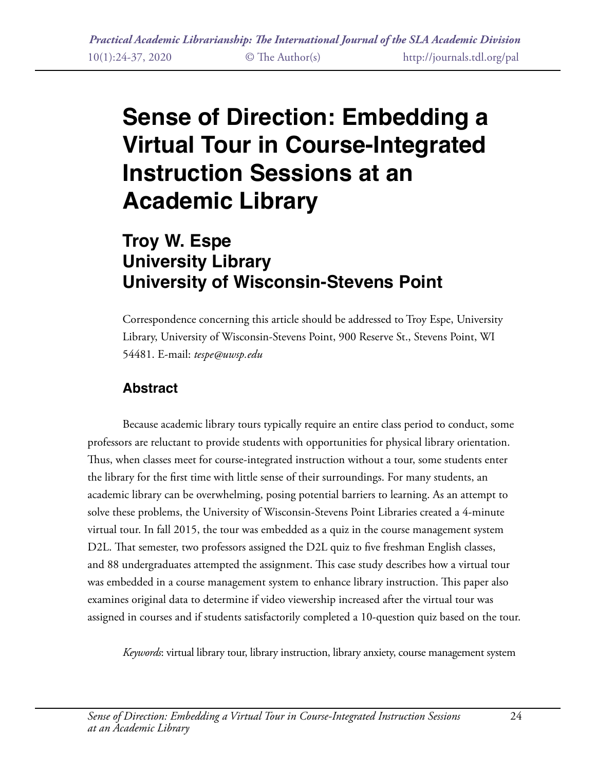# **Sense of Direction: Embedding a Virtual Tour in Course-Integrated Instruction Sessions at an Academic Library**

# **Troy W. Espe University Library University of Wisconsin-Stevens Point**

Correspondence concerning this article should be addressed to Troy Espe, University Library, University of Wisconsin-Stevens Point, 900 Reserve St., Stevens Point, WI 54481. E-mail: *tespe@uwsp.edu*

### **Abstract**

Because academic library tours typically require an entire class period to conduct, some professors are reluctant to provide students with opportunities for physical library orientation. Thus, when classes meet for course-integrated instruction without a tour, some students enter the library for the first time with little sense of their surroundings. For many students, an academic library can be overwhelming, posing potential barriers to learning. As an attempt to solve these problems, the University of Wisconsin-Stevens Point Libraries created a 4-minute virtual tour. In fall 2015, the tour was embedded as a quiz in the course management system D2L. That semester, two professors assigned the D2L quiz to five freshman English classes, and 88 undergraduates attempted the assignment. This case study describes how a virtual tour was embedded in a course management system to enhance library instruction. This paper also examines original data to determine if video viewership increased after the virtual tour was assigned in courses and if students satisfactorily completed a 10-question quiz based on the tour.

*Keywords*: virtual library tour, library instruction, library anxiety, course management system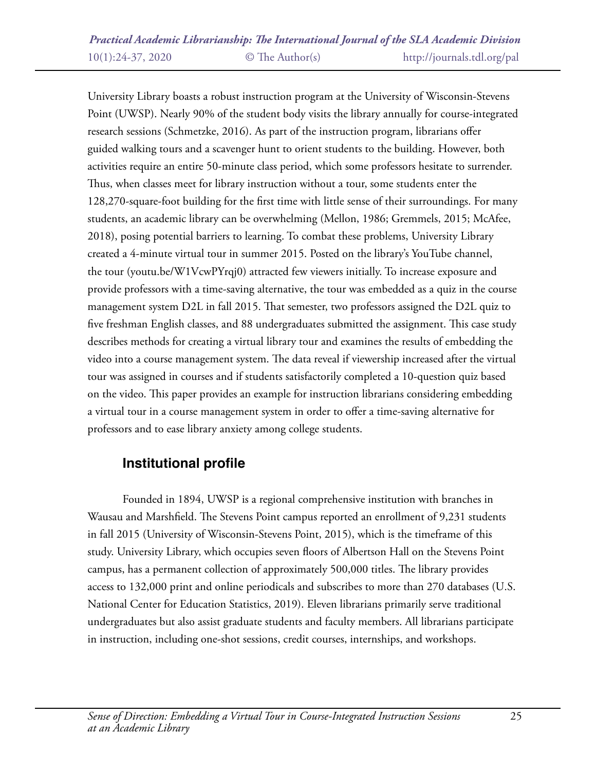University Library boasts a robust instruction program at the University of Wisconsin-Stevens Point (UWSP). Nearly 90% of the student body visits the library annually for course-integrated research sessions (Schmetzke, 2016). As part of the instruction program, librarians offer guided walking tours and a scavenger hunt to orient students to the building. However, both activities require an entire 50-minute class period, which some professors hesitate to surrender. Thus, when classes meet for library instruction without a tour, some students enter the 128,270-square-foot building for the first time with little sense of their surroundings. For many students, an academic library can be overwhelming (Mellon, 1986; Gremmels, 2015; McAfee, 2018), posing potential barriers to learning. To combat these problems, University Library created a 4-minute virtual tour in summer 2015. Posted on the library's YouTube channel, the tour (youtu.be/W1VcwPYrqj0) attracted few viewers initially. To increase exposure and provide professors with a time-saving alternative, the tour was embedded as a quiz in the course management system D2L in fall 2015. That semester, two professors assigned the D2L quiz to five freshman English classes, and 88 undergraduates submitted the assignment. This case study describes methods for creating a virtual library tour and examines the results of embedding the video into a course management system. The data reveal if viewership increased after the virtual tour was assigned in courses and if students satisfactorily completed a 10-question quiz based on the video. This paper provides an example for instruction librarians considering embedding a virtual tour in a course management system in order to offer a time-saving alternative for professors and to ease library anxiety among college students.

### **Institutional profile**

Founded in 1894, UWSP is a regional comprehensive institution with branches in Wausau and Marshfield. The Stevens Point campus reported an enrollment of 9,231 students in fall 2015 (University of Wisconsin-Stevens Point, 2015), which is the timeframe of this study. University Library, which occupies seven floors of Albertson Hall on the Stevens Point campus, has a permanent collection of approximately 500,000 titles. The library provides access to 132,000 print and online periodicals and subscribes to more than 270 databases (U.S. National Center for Education Statistics, 2019). Eleven librarians primarily serve traditional undergraduates but also assist graduate students and faculty members. All librarians participate in instruction, including one-shot sessions, credit courses, internships, and workshops.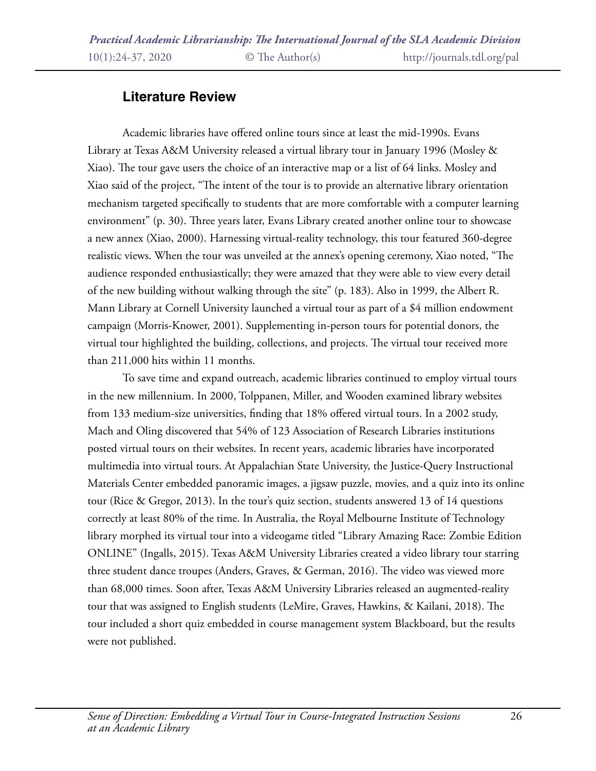## **Literature Review**

Academic libraries have offered online tours since at least the mid-1990s. Evans Library at Texas A&M University released a virtual library tour in January 1996 (Mosley & Xiao). The tour gave users the choice of an interactive map or a list of 64 links. Mosley and Xiao said of the project, "The intent of the tour is to provide an alternative library orientation mechanism targeted specifically to students that are more comfortable with a computer learning environment" (p. 30). Three years later, Evans Library created another online tour to showcase a new annex (Xiao, 2000). Harnessing virtual-reality technology, this tour featured 360-degree realistic views. When the tour was unveiled at the annex's opening ceremony, Xiao noted, "The audience responded enthusiastically; they were amazed that they were able to view every detail of the new building without walking through the site" (p. 183). Also in 1999, the Albert R. Mann Library at Cornell University launched a virtual tour as part of a \$4 million endowment campaign (Morris-Knower, 2001). Supplementing in-person tours for potential donors, the virtual tour highlighted the building, collections, and projects. The virtual tour received more than 211,000 hits within 11 months.

To save time and expand outreach, academic libraries continued to employ virtual tours in the new millennium. In 2000, Tolppanen, Miller, and Wooden examined library websites from 133 medium-size universities, finding that 18% offered virtual tours. In a 2002 study, Mach and Oling discovered that 54% of 123 Association of Research Libraries institutions posted virtual tours on their websites. In recent years, academic libraries have incorporated multimedia into virtual tours. At Appalachian State University, the Justice-Query Instructional Materials Center embedded panoramic images, a jigsaw puzzle, movies, and a quiz into its online tour (Rice & Gregor, 2013). In the tour's quiz section, students answered 13 of 14 questions correctly at least 80% of the time. In Australia, the Royal Melbourne Institute of Technology library morphed its virtual tour into a videogame titled "Library Amazing Race: Zombie Edition ONLINE" (Ingalls, 2015). Texas A&M University Libraries created a video library tour starring three student dance troupes (Anders, Graves, & German, 2016). The video was viewed more than 68,000 times. Soon after, Texas A&M University Libraries released an augmented-reality tour that was assigned to English students (LeMire, Graves, Hawkins, & Kailani, 2018). The tour included a short quiz embedded in course management system Blackboard, but the results were not published.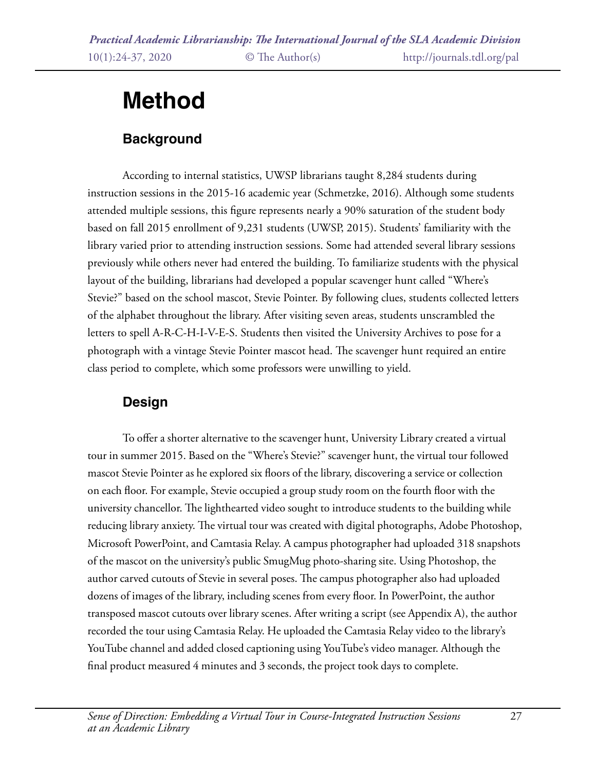# **Method**

# **Background**

According to internal statistics, UWSP librarians taught 8,284 students during instruction sessions in the 2015-16 academic year (Schmetzke, 2016). Although some students attended multiple sessions, this figure represents nearly a 90% saturation of the student body based on fall 2015 enrollment of 9,231 students (UWSP, 2015). Students' familiarity with the library varied prior to attending instruction sessions. Some had attended several library sessions previously while others never had entered the building. To familiarize students with the physical layout of the building, librarians had developed a popular scavenger hunt called "Where's Stevie?" based on the school mascot, Stevie Pointer. By following clues, students collected letters of the alphabet throughout the library. After visiting seven areas, students unscrambled the letters to spell A-R-C-H-I-V-E-S. Students then visited the University Archives to pose for a photograph with a vintage Stevie Pointer mascot head. The scavenger hunt required an entire class period to complete, which some professors were unwilling to yield.

# **Design**

To offer a shorter alternative to the scavenger hunt, University Library created a virtual tour in summer 2015. Based on the "Where's Stevie?" scavenger hunt, the virtual tour followed mascot Stevie Pointer as he explored six floors of the library, discovering a service or collection on each floor. For example, Stevie occupied a group study room on the fourth floor with the university chancellor. The lighthearted video sought to introduce students to the building while reducing library anxiety. The virtual tour was created with digital photographs, Adobe Photoshop, Microsoft PowerPoint, and Camtasia Relay. A campus photographer had uploaded 318 snapshots of the mascot on the university's public SmugMug photo-sharing site. Using Photoshop, the author carved cutouts of Stevie in several poses. The campus photographer also had uploaded dozens of images of the library, including scenes from every floor. In PowerPoint, the author transposed mascot cutouts over library scenes. After writing a script (see Appendix A), the author recorded the tour using Camtasia Relay. He uploaded the Camtasia Relay video to the library's YouTube channel and added closed captioning using YouTube's video manager. Although the final product measured 4 minutes and 3 seconds, the project took days to complete.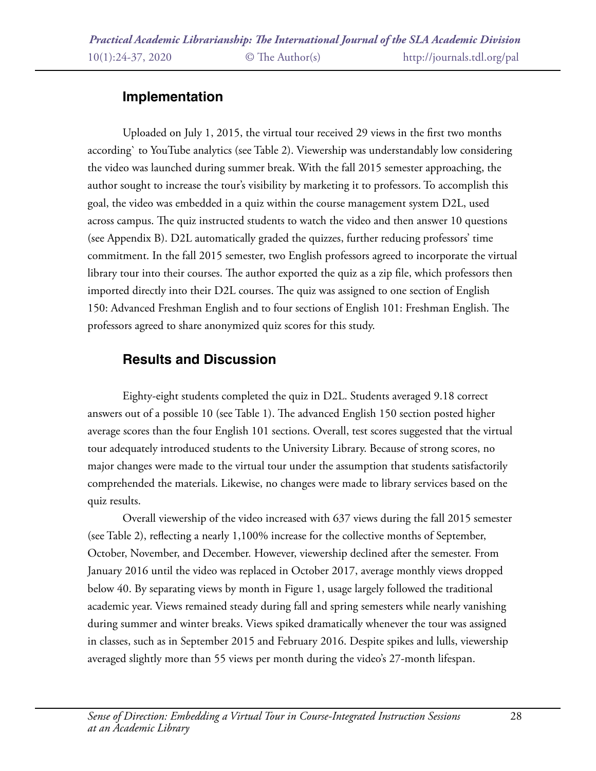## **Implementation**

Uploaded on July 1, 2015, the virtual tour received 29 views in the first two months according` to YouTube analytics (see Table 2). Viewership was understandably low considering the video was launched during summer break. With the fall 2015 semester approaching, the author sought to increase the tour's visibility by marketing it to professors. To accomplish this goal, the video was embedded in a quiz within the course management system D2L, used across campus. The quiz instructed students to watch the video and then answer 10 questions (see Appendix B). D2L automatically graded the quizzes, further reducing professors' time commitment. In the fall 2015 semester, two English professors agreed to incorporate the virtual library tour into their courses. The author exported the quiz as a zip file, which professors then imported directly into their D2L courses. The quiz was assigned to one section of English 150: Advanced Freshman English and to four sections of English 101: Freshman English. The professors agreed to share anonymized quiz scores for this study.

# **Results and Discussion**

Eighty-eight students completed the quiz in D2L. Students averaged 9.18 correct answers out of a possible 10 (see Table 1). The advanced English 150 section posted higher average scores than the four English 101 sections. Overall, test scores suggested that the virtual tour adequately introduced students to the University Library. Because of strong scores, no major changes were made to the virtual tour under the assumption that students satisfactorily comprehended the materials. Likewise, no changes were made to library services based on the quiz results.

Overall viewership of the video increased with 637 views during the fall 2015 semester (see Table 2), reflecting a nearly 1,100% increase for the collective months of September, October, November, and December. However, viewership declined after the semester. From January 2016 until the video was replaced in October 2017, average monthly views dropped below 40. By separating views by month in Figure 1, usage largely followed the traditional academic year. Views remained steady during fall and spring semesters while nearly vanishing during summer and winter breaks. Views spiked dramatically whenever the tour was assigned in classes, such as in September 2015 and February 2016. Despite spikes and lulls, viewership averaged slightly more than 55 views per month during the video's 27-month lifespan.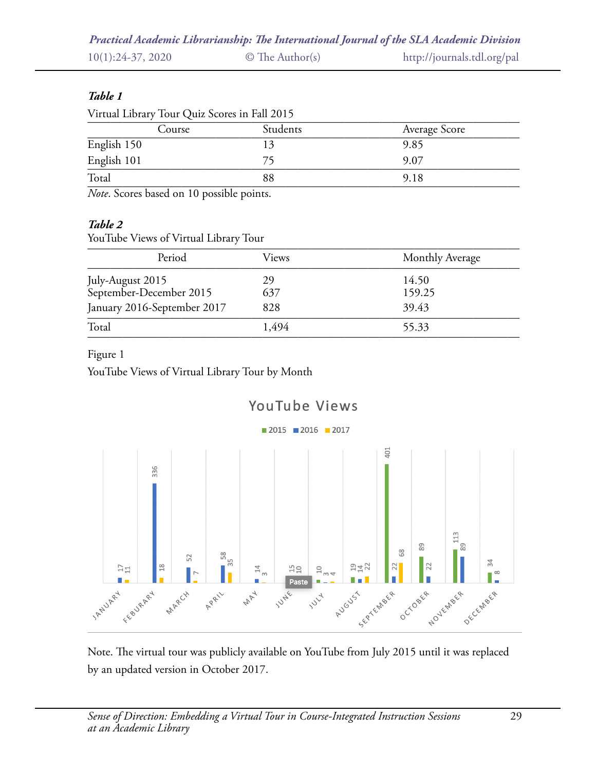|                    |                       | Practical Academic Librarianship: The International Journal of the SLA Academic Division |
|--------------------|-----------------------|------------------------------------------------------------------------------------------|
| $10(1):24-37,2020$ | $\circ$ The Author(s) | http://journals.tdl.org/pal                                                              |

### *Table 1*

| Virtual Library Tour Quiz Scores in Fall 2015 |          |               |  |  |  |
|-----------------------------------------------|----------|---------------|--|--|--|
| Course                                        | Students | Average Score |  |  |  |
| English 150                                   |          | 9.85          |  |  |  |
| English 101                                   |          | 9.07          |  |  |  |
| Total                                         | 88       | 9.18          |  |  |  |
| . .<br>----                                   | .        |               |  |  |  |

Note. Scores based on 10 possible points.

#### *Table 2*

YouTube Views of Virtual Library Tour

| Period                                      | Views | Monthly Average |
|---------------------------------------------|-------|-----------------|
|                                             | 29    | 14.50           |
| July-August 2015<br>September-December 2015 | 637   | 159.25          |
| January 2016-September 2017                 | 828   | 39.43           |
| Total                                       | 1,494 | 55.33           |

### Figure 1

YouTube Views of Virtual Library Tour by Month



Note. The virtual tour was publicly available on YouTube from July 2015 until it was replaced by an updated version in October 2017.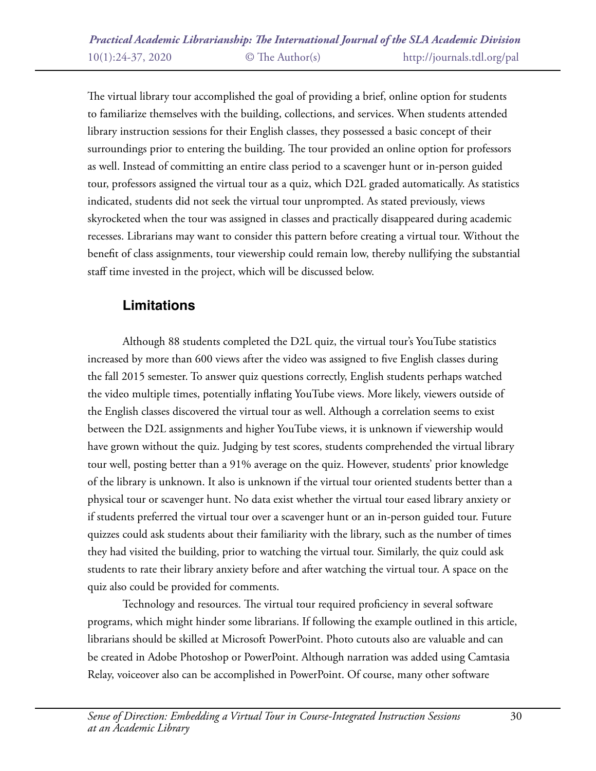The virtual library tour accomplished the goal of providing a brief, online option for students to familiarize themselves with the building, collections, and services. When students attended library instruction sessions for their English classes, they possessed a basic concept of their surroundings prior to entering the building. The tour provided an online option for professors as well. Instead of committing an entire class period to a scavenger hunt or in-person guided tour, professors assigned the virtual tour as a quiz, which D2L graded automatically. As statistics indicated, students did not seek the virtual tour unprompted. As stated previously, views skyrocketed when the tour was assigned in classes and practically disappeared during academic recesses. Librarians may want to consider this pattern before creating a virtual tour. Without the benefit of class assignments, tour viewership could remain low, thereby nullifying the substantial staff time invested in the project, which will be discussed below.

## **Limitations**

Although 88 students completed the D2L quiz, the virtual tour's YouTube statistics increased by more than 600 views after the video was assigned to five English classes during the fall 2015 semester. To answer quiz questions correctly, English students perhaps watched the video multiple times, potentially inflating YouTube views. More likely, viewers outside of the English classes discovered the virtual tour as well. Although a correlation seems to exist between the D2L assignments and higher YouTube views, it is unknown if viewership would have grown without the quiz. Judging by test scores, students comprehended the virtual library tour well, posting better than a 91% average on the quiz. However, students' prior knowledge of the library is unknown. It also is unknown if the virtual tour oriented students better than a physical tour or scavenger hunt. No data exist whether the virtual tour eased library anxiety or if students preferred the virtual tour over a scavenger hunt or an in-person guided tour. Future quizzes could ask students about their familiarity with the library, such as the number of times they had visited the building, prior to watching the virtual tour. Similarly, the quiz could ask students to rate their library anxiety before and after watching the virtual tour. A space on the quiz also could be provided for comments.

Technology and resources. The virtual tour required proficiency in several software programs, which might hinder some librarians. If following the example outlined in this article, librarians should be skilled at Microsoft PowerPoint. Photo cutouts also are valuable and can be created in Adobe Photoshop or PowerPoint. Although narration was added using Camtasia Relay, voiceover also can be accomplished in PowerPoint. Of course, many other software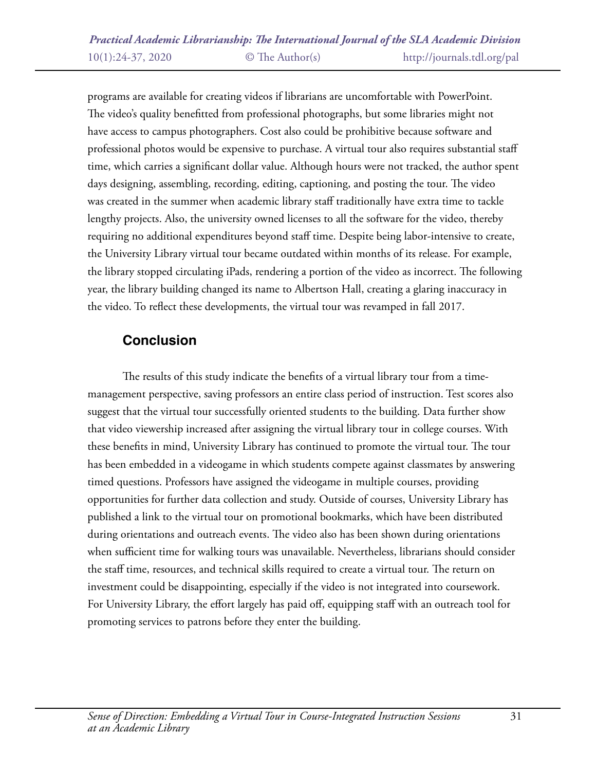programs are available for creating videos if librarians are uncomfortable with PowerPoint. The video's quality benefitted from professional photographs, but some libraries might not have access to campus photographers. Cost also could be prohibitive because software and professional photos would be expensive to purchase. A virtual tour also requires substantial staff time, which carries a significant dollar value. Although hours were not tracked, the author spent days designing, assembling, recording, editing, captioning, and posting the tour. The video was created in the summer when academic library staff traditionally have extra time to tackle lengthy projects. Also, the university owned licenses to all the software for the video, thereby requiring no additional expenditures beyond staff time. Despite being labor-intensive to create, the University Library virtual tour became outdated within months of its release. For example, the library stopped circulating iPads, rendering a portion of the video as incorrect. The following year, the library building changed its name to Albertson Hall, creating a glaring inaccuracy in the video. To reflect these developments, the virtual tour was revamped in fall 2017.

## **Conclusion**

The results of this study indicate the benefits of a virtual library tour from a timemanagement perspective, saving professors an entire class period of instruction. Test scores also suggest that the virtual tour successfully oriented students to the building. Data further show that video viewership increased after assigning the virtual library tour in college courses. With these benefits in mind, University Library has continued to promote the virtual tour. The tour has been embedded in a videogame in which students compete against classmates by answering timed questions. Professors have assigned the videogame in multiple courses, providing opportunities for further data collection and study. Outside of courses, University Library has published a link to the virtual tour on promotional bookmarks, which have been distributed during orientations and outreach events. The video also has been shown during orientations when sufficient time for walking tours was unavailable. Nevertheless, librarians should consider the staff time, resources, and technical skills required to create a virtual tour. The return on investment could be disappointing, especially if the video is not integrated into coursework. For University Library, the effort largely has paid off, equipping staff with an outreach tool for promoting services to patrons before they enter the building.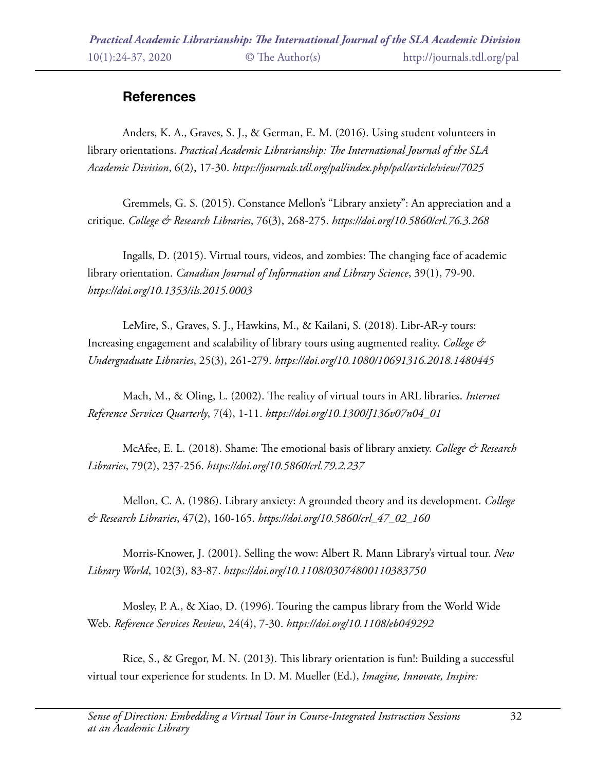## **References**

Anders, K. A., Graves, S. J., & German, E. M. (2016). Using student volunteers in library orientations. *Practical Academic Librarianship: The International Journal of the SLA Academic Division*, 6(2), 17-30. *https://journals.tdl.org/pal/index.php/pal/article/view/7025*

Gremmels, G. S. (2015). Constance Mellon's "Library anxiety": An appreciation and a critique. *College & Research Libraries*, 76(3), 268-275. *https://doi.org/10.5860/crl.76.3.268* 

Ingalls, D. (2015). Virtual tours, videos, and zombies: The changing face of academic library orientation. *Canadian Journal of Information and Library Science*, 39(1), 79-90. *https://doi.org/10.1353/ils.2015.0003*

LeMire, S., Graves, S. J., Hawkins, M., & Kailani, S. (2018). Libr-AR-y tours: Increasing engagement and scalability of library tours using augmented reality. *College & Undergraduate Libraries*, 25(3), 261-279. *https://doi.org/10.1080/10691316.2018.1480445* 

Mach, M., & Oling, L. (2002). The reality of virtual tours in ARL libraries. *Internet Reference Services Quarterly*, 7(4), 1-11. *https://doi.org/10.1300/J136v07n04\_01* 

McAfee, E. L. (2018). Shame: The emotional basis of library anxiety. *College & Research Libraries*, 79(2), 237-256. *https://doi.org/10.5860/crl.79.2.237* 

Mellon, C. A. (1986). Library anxiety: A grounded theory and its development. *College & Research Libraries*, 47(2), 160-165. *https://doi.org/10.5860/crl\_47\_02\_160* 

Morris-Knower, J. (2001). Selling the wow: Albert R. Mann Library's virtual tour. *New Library World*, 102(3), 83-87. *https://doi.org/10.1108/03074800110383750* 

Mosley, P. A., & Xiao, D. (1996). Touring the campus library from the World Wide Web. *Reference Services Review*, 24(4), 7-30. *https://doi.org/10.1108/eb049292* 

Rice, S., & Gregor, M. N. (2013). This library orientation is fun!: Building a successful virtual tour experience for students. In D. M. Mueller (Ed.), *Imagine, Innovate, Inspire:*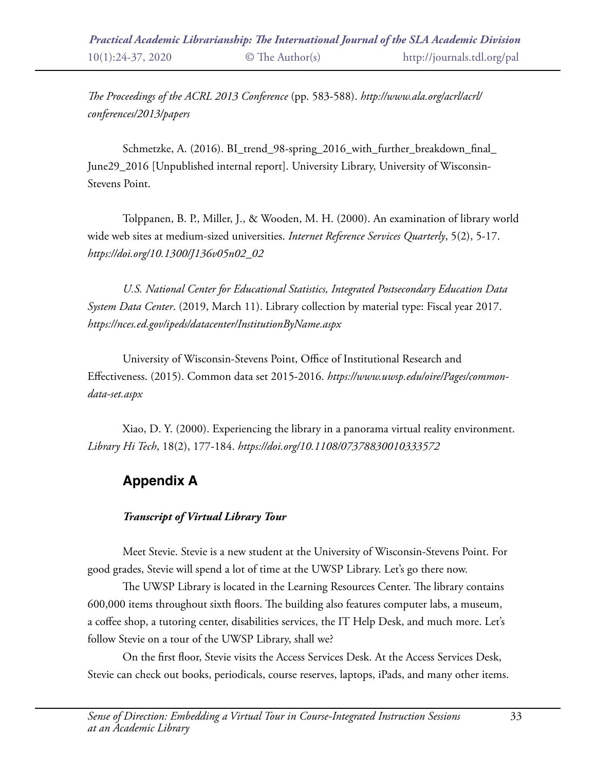*The Proceedings of the ACRL 2013 Conference* (pp. 583-588). *http://www.ala.org/acrl/acrl/ conferences/2013/papers* 

Schmetzke, A. (2016). BI\_trend\_98-spring\_2016\_with\_further\_breakdown\_final\_ June29\_2016 [Unpublished internal report]. University Library, University of Wisconsin-Stevens Point.

Tolppanen, B. P., Miller, J., & Wooden, M. H. (2000). An examination of library world wide web sites at medium-sized universities. *Internet Reference Services Quarterly*, 5(2), 5-17. *https://doi.org/10.1300/J136v05n02\_02* 

*U.S. National Center for Educational Statistics, Integrated Postsecondary Education Data System Data Center*. (2019, March 11). Library collection by material type: Fiscal year 2017. *https://nces.ed.gov/ipeds/datacenter/InstitutionByName.aspx* 

University of Wisconsin-Stevens Point, Office of Institutional Research and Effectiveness. (2015). Common data set 2015-2016. *https://www.uwsp.edu/oire/Pages/commondata-set.aspx* 

Xiao, D. Y. (2000). Experiencing the library in a panorama virtual reality environment. *Library Hi Tech*, 18(2), 177-184. *https://doi.org/10.1108/07378830010333572* 

# **Appendix A**

### *Transcript of Virtual Library Tour*

Meet Stevie. Stevie is a new student at the University of Wisconsin-Stevens Point. For good grades, Stevie will spend a lot of time at the UWSP Library. Let's go there now.

The UWSP Library is located in the Learning Resources Center. The library contains 600,000 items throughout sixth floors. The building also features computer labs, a museum, a coffee shop, a tutoring center, disabilities services, the IT Help Desk, and much more. Let's follow Stevie on a tour of the UWSP Library, shall we?

On the first floor, Stevie visits the Access Services Desk. At the Access Services Desk, Stevie can check out books, periodicals, course reserves, laptops, iPads, and many other items.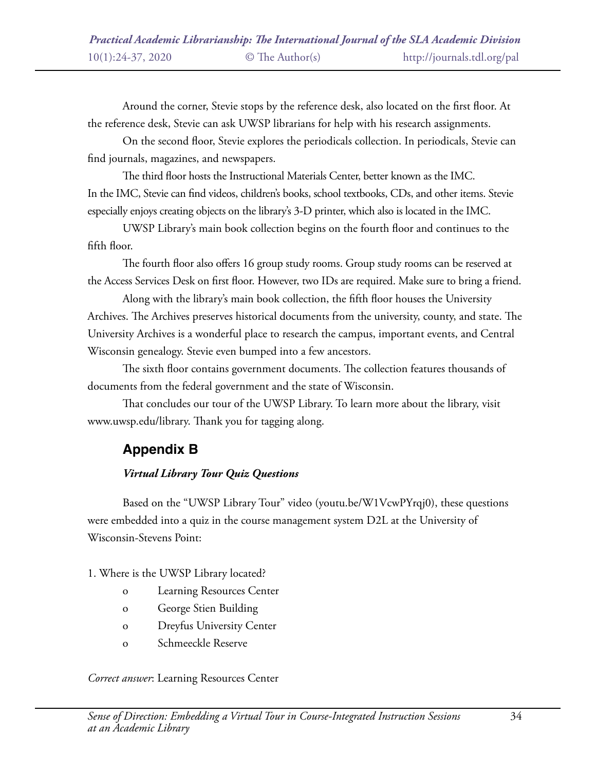Around the corner, Stevie stops by the reference desk, also located on the first floor. At the reference desk, Stevie can ask UWSP librarians for help with his research assignments.

On the second floor, Stevie explores the periodicals collection. In periodicals, Stevie can find journals, magazines, and newspapers.

The third floor hosts the Instructional Materials Center, better known as the IMC. In the IMC, Stevie can find videos, children's books, school textbooks, CDs, and other items. Stevie especially enjoys creating objects on the library's 3-D printer, which also is located in the IMC.

UWSP Library's main book collection begins on the fourth floor and continues to the fifth floor.

The fourth floor also offers 16 group study rooms. Group study rooms can be reserved at the Access Services Desk on first floor. However, two IDs are required. Make sure to bring a friend.

Along with the library's main book collection, the fifth floor houses the University Archives. The Archives preserves historical documents from the university, county, and state. The University Archives is a wonderful place to research the campus, important events, and Central Wisconsin genealogy. Stevie even bumped into a few ancestors.

The sixth floor contains government documents. The collection features thousands of documents from the federal government and the state of Wisconsin.

That concludes our tour of the UWSP Library. To learn more about the library, visit www.uwsp.edu/library. Thank you for tagging along.

# **Appendix B**

### *Virtual Library Tour Quiz Questions*

Based on the "UWSP Library Tour" video (youtu.be/W1VcwPYrqj0), these questions were embedded into a quiz in the course management system D2L at the University of Wisconsin-Stevens Point:

### 1. Where is the UWSP Library located?

- o Learning Resources Center
- o George Stien Building
- o Dreyfus University Center
- o Schmeeckle Reserve

#### *Correct answer*: Learning Resources Center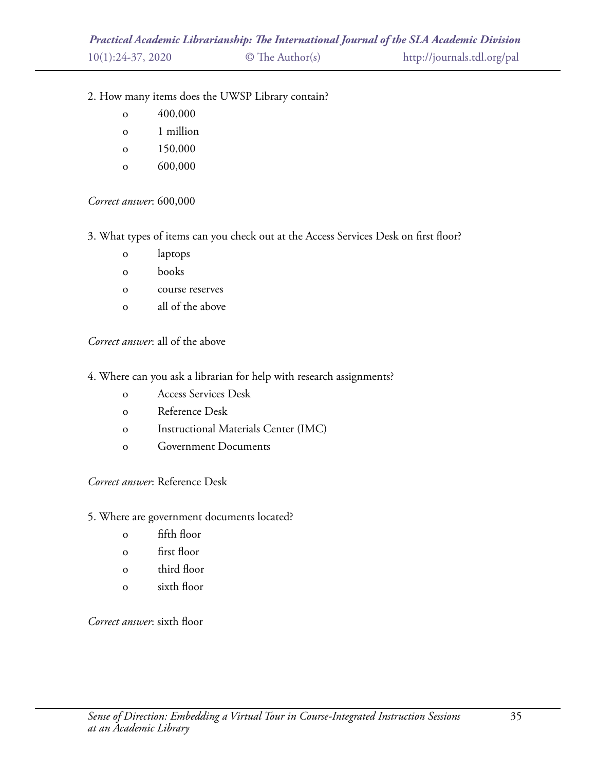- 2. How many items does the UWSP Library contain?
	- o 400,000
	- o 1 million
	- o 150,000
	- o 600,000

*Correct answer*: 600,000

3. What types of items can you check out at the Access Services Desk on first floor?

- o laptops
- o books
- o course reserves
- o all of the above

*Correct answer*: all of the above

- 4. Where can you ask a librarian for help with research assignments?
	- o Access Services Desk
	- o Reference Desk
	- o Instructional Materials Center (IMC)
	- o Government Documents

*Correct answer*: Reference Desk

- 5. Where are government documents located?
	- o fifth floor
	- o first floor
	- o third floor
	- o sixth floor

*Correct answer*: sixth floor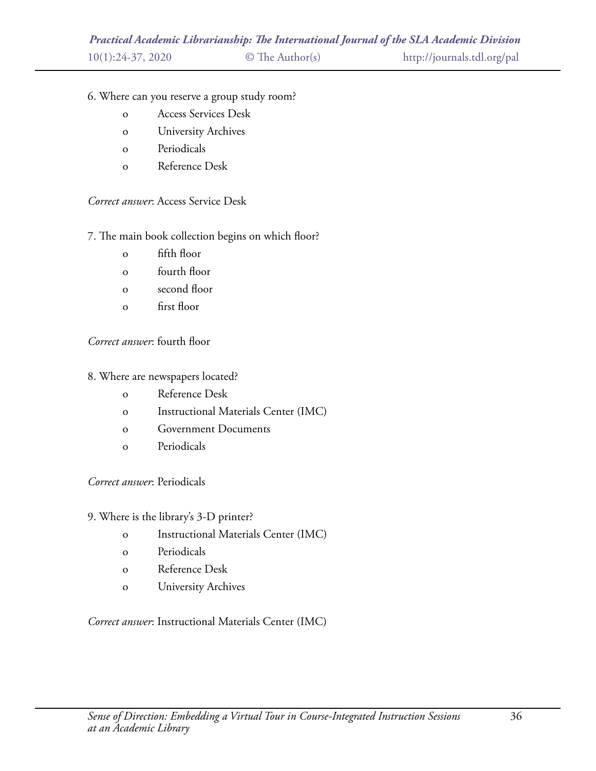### 6. Where can you reserve a group study room?

- o Access Services Desk
- o University Archives
- o Periodicals
- o Reference Desk

### *Correct answer*: Access Service Desk

### 7. The main book collection begins on which floor?

- o fifth floor
- o fourth floor
- o second floor
- o first floor

### *Correct answer*: fourth floor

#### 8. Where are newspapers located?

- o Reference Desk
- o Instructional Materials Center (IMC)
- o Government Documents
- o Periodicals

#### *Correct answer*: Periodicals

#### 9. Where is the library's 3-D printer?

- o Instructional Materials Center (IMC)
- o Periodicals
- o Reference Desk
- o University Archives

### *Correct answer*: Instructional Materials Center (IMC)